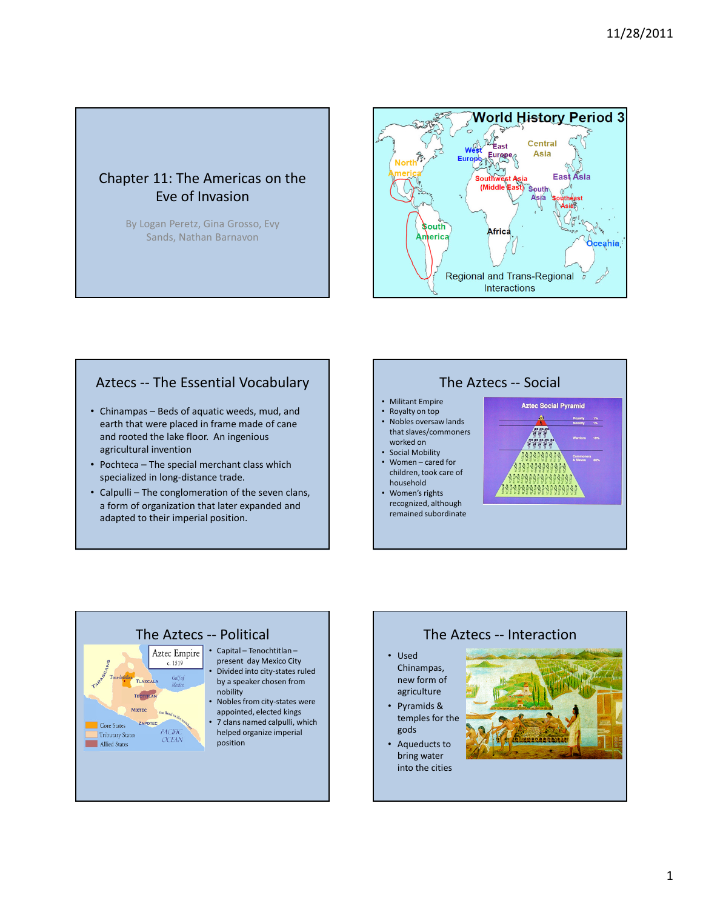# Chapter 11: The Americas on the Eve of Invasion

By Logan Peretz, Gina Grosso, Evy Sands, Nathan Barnavon



## Aztecs -- The Essential Vocabulary

- Chinampas Beds of aquatic weeds, mud, and earth that were placed in frame made of cane and rooted the lake floor. An ingenious agricultural invention
- Pochteca The special merchant class which specialized in long-distance trade.
- Calpulli The conglomeration of the seven clans, a form of organization that later expanded and adapted to their imperial position.



### • Militant Empire

- Royalty on top<br>• Nobles oversay • Nobles oversaw lands that slaves/commoners worked on
- Social Mobility • Women – cared for children, took care of
- household • Women's rights
- recognized, although remained subordinate





#### The Aztecs -- Interaction

- Used Chinampas, new form of agriculture
- Pyramids & temples for the gods
- Aqueducts to bring water into the cities

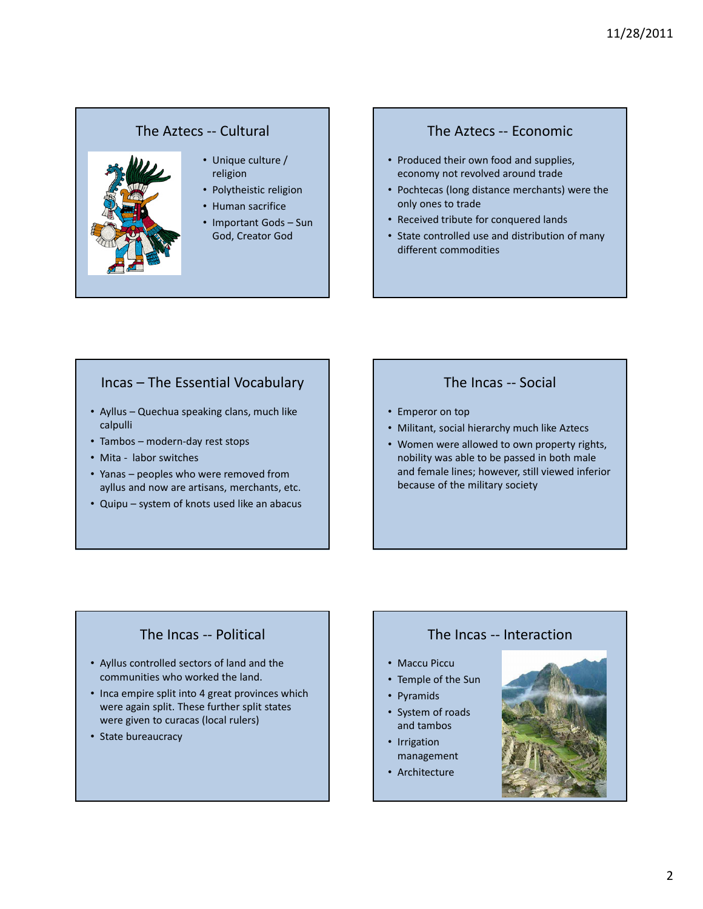## The Aztecs -- Cultural



#### • Unique culture / religion

- Polytheistic religion
- Human sacrifice
- Important Gods Sun God, Creator God

### The Aztecs -- Economic

- Produced their own food and supplies, economy not revolved around trade
- Pochtecas (long distance merchants) were the only ones to trade
- Received tribute for conquered lands
- State controlled use and distribution of many different commodities

## Incas – The Essential Vocabulary

- Ayllus Quechua speaking clans, much like calpulli
- Tambos modern-day rest stops
- Mita labor switches
- Yanas peoples who were removed from ayllus and now are artisans, merchants, etc.
- Quipu system of knots used like an abacus

## The Incas -- Social

- Emperor on top
- Militant, social hierarchy much like Aztecs
- Women were allowed to own property rights, nobility was able to be passed in both male and female lines; however, still viewed inferior because of the military society

# The Incas -- Political

- Ayllus controlled sectors of land and the communities who worked the land.
- Inca empire split into 4 great provinces which were again split. These further split states were given to curacas (local rulers)
- State bureaucracy

# The Incas -- Interaction

- Maccu Piccu
- Temple of the Sun
- Pyramids
- 
- System of roads and tambos
- Irrigation management
- Architecture